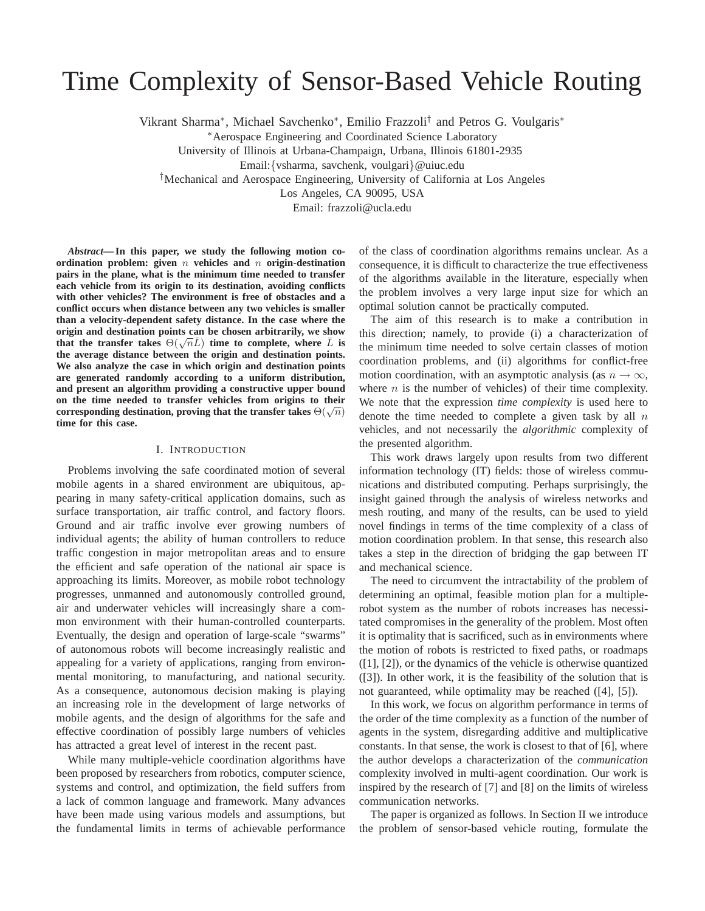# Time Complexity of Sensor-Based Vehicle Routing

Vikrant Sharma<sup>∗</sup> , Michael Savchenko<sup>∗</sup> , Emilio Frazzoli† and Petros G. Voulgaris<sup>∗</sup>

<sup>∗</sup>Aerospace Engineering and Coordinated Science Laboratory

University of Illinois at Urbana-Champaign, Urbana, Illinois 61801-2935

Email:{vsharma, savchenk, voulgari}@uiuc.edu

†Mechanical and Aerospace Engineering, University of California at Los Angeles

Los Angeles, CA 90095, USA

Email: frazzoli@ucla.edu

*Abstract***— In this paper, we study the following motion coordination problem: given** n **vehicles and** n **origin-destination pairs in the plane, what is the minimum time needed to transfer each vehicle from its origin to its destination, avoiding conflicts with other vehicles? The environment is free of obstacles and a conflict occurs when distance between any two vehicles is smaller than a velocity-dependent safety distance. In the case where the origin and destination points can be chosen arbitrarily, we show** that the transfer takes  $\Theta(\sqrt{n}\bar{L})$  time to complete, where  $\bar{L}$  is **the average distance between the origin and destination points. We also analyze the case in which origin and destination points are generated randomly according to a uniform distribution, and present an algorithm providing a constructive upper bound on the time needed to transfer vehicles from origins to their**  $\mathop{\mathrm{corresponding\,}}$  destination, proving that the transfer takes  $\Theta(\sqrt{n})$ **time for this case.**

# I. INTRODUCTION

Problems involving the safe coordinated motion of several mobile agents in a shared environment are ubiquitous, appearing in many safety-critical application domains, such as surface transportation, air traffic control, and factory floors. Ground and air traffic involve ever growing numbers of individual agents; the ability of human controllers to reduce traffic congestion in major metropolitan areas and to ensure the efficient and safe operation of the national air space is approaching its limits. Moreover, as mobile robot technology progresses, unmanned and autonomously controlled ground, air and underwater vehicles will increasingly share a common environment with their human-controlled counterparts. Eventually, the design and operation of large-scale "swarms" of autonomous robots will become increasingly realistic and appealing for a variety of applications, ranging from environmental monitoring, to manufacturing, and national security. As a consequence, autonomous decision making is playing an increasing role in the development of large networks of mobile agents, and the design of algorithms for the safe and effective coordination of possibly large numbers of vehicles has attracted a great level of interest in the recent past.

While many multiple-vehicle coordination algorithms have been proposed by researchers from robotics, computer science, systems and control, and optimization, the field suffers from a lack of common language and framework. Many advances have been made using various models and assumptions, but the fundamental limits in terms of achievable performance

of the class of coordination algorithms remains unclear. As a consequence, it is difficult to characterize the true effectiveness of the algorithms available in the literature, especially when the problem involves a very large input size for which an optimal solution cannot be practically computed.

The aim of this research is to make a contribution in this direction; namely, to provide (i) a characterization of the minimum time needed to solve certain classes of motion coordination problems, and (ii) algorithms for conflict-free motion coordination, with an asymptotic analysis (as  $n \to \infty$ , where  $n$  is the number of vehicles) of their time complexity. We note that the expression *time complexity* is used here to denote the time needed to complete a given task by all  $n$ vehicles, and not necessarily the *algorithmic* complexity of the presented algorithm.

This work draws largely upon results from two different information technology (IT) fields: those of wireless communications and distributed computing. Perhaps surprisingly, the insight gained through the analysis of wireless networks and mesh routing, and many of the results, can be used to yield novel findings in terms of the time complexity of a class of motion coordination problem. In that sense, this research also takes a step in the direction of bridging the gap between IT and mechanical science.

The need to circumvent the intractability of the problem of determining an optimal, feasible motion plan for a multiplerobot system as the number of robots increases has necessitated compromises in the generality of the problem. Most often it is optimality that is sacrificed, such as in environments where the motion of robots is restricted to fixed paths, or roadmaps ([1], [2]), or the dynamics of the vehicle is otherwise quantized ([3]). In other work, it is the feasibility of the solution that is not guaranteed, while optimality may be reached ([4], [5]).

In this work, we focus on algorithm performance in terms of the order of the time complexity as a function of the number of agents in the system, disregarding additive and multiplicative constants. In that sense, the work is closest to that of [6], where the author develops a characterization of the *communication* complexity involved in multi-agent coordination. Our work is inspired by the research of [7] and [8] on the limits of wireless communication networks.

The paper is organized as follows. In Section II we introduce the problem of sensor-based vehicle routing, formulate the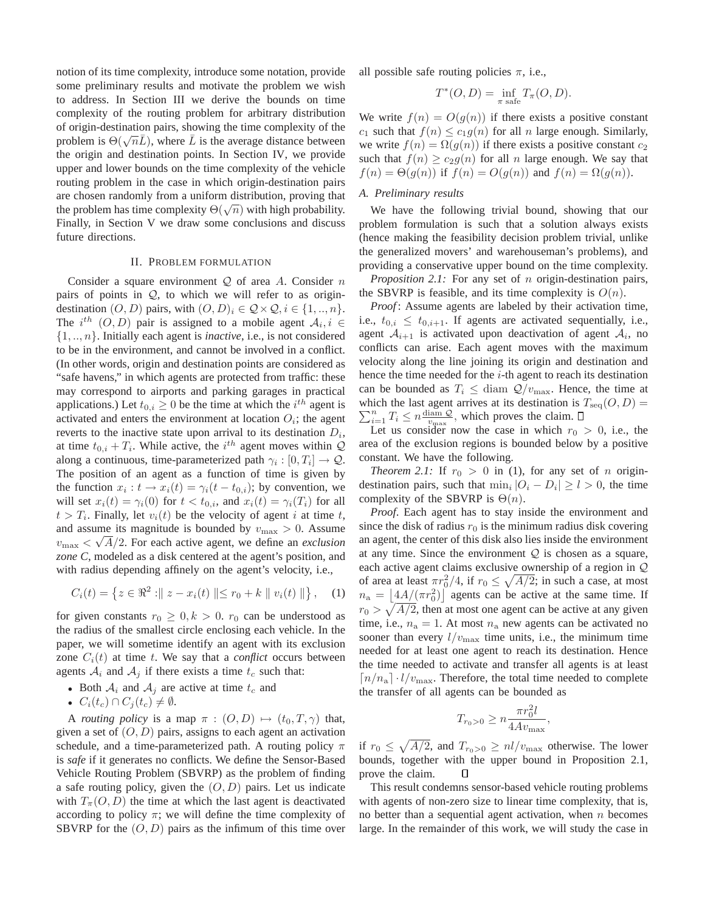notion of its time complexity, introduce some notation, provide some preliminary results and motivate the problem we wish to address. In Section III we derive the bounds on time complexity of the routing problem for arbitrary distribution of origin-destination pairs, showing the time complexity of the problem is  $\Theta(\sqrt{n}\bar{L})$ , where  $\bar{L}$  is the average distance between the origin and destination points. In Section IV, we provide upper and lower bounds on the time complexity of the vehicle routing problem in the case in which origin-destination pairs are chosen randomly from a uniform distribution, proving that the problem has time complexity  $\Theta(\sqrt{n})$  with high probability. Finally, in Section V we draw some conclusions and discuss future directions.

# II. PROBLEM FORMULATION

Consider a square environment  $Q$  of area A. Consider n pairs of points in  $Q$ , to which we will refer to as origindestination  $(O, D)$  pairs, with  $(O, D)_i \in \mathcal{Q} \times \mathcal{Q}, i \in \{1, ..., n\}.$ The  $i^{th}$   $(O, D)$  pair is assigned to a mobile agent  $A_i, i \in$ {1, .., n}. Initially each agent is *inactive*, i.e., is not considered to be in the environment, and cannot be involved in a conflict. (In other words, origin and destination points are considered as "safe havens," in which agents are protected from traffic: these may correspond to airports and parking garages in practical applications.) Let  $t_{0,i} \ge 0$  be the time at which the  $i^{th}$  agent is activated and enters the environment at location  $O_i$ ; the agent reverts to the inactive state upon arrival to its destination  $D_i$ , at time  $t_{0,i} + T_i$ . While active, the  $i^{th}$  agent moves within  $Q$ along a continuous, time-parameterized path  $\gamma_i : [0, T_i] \to \mathcal{Q}$ . The position of an agent as a function of time is given by the function  $x_i : t \to x_i(t) = \gamma_i(t - t_{0,i})$ ; by convention, we will set  $x_i(t) = \gamma_i(0)$  for  $t < t_{0,i}$ , and  $x_i(t) = \gamma_i(T_i)$  for all  $t > T_i$ . Finally, let  $v_i(t)$  be the velocity of agent i at time t, and assume its magnitude is bounded by  $v_{\text{max}} > 0$ . Assume  $v_{\text{max}} < \sqrt{A}/2$ . For each active agent, we define an *exclusion zone C*, modeled as a disk centered at the agent's position, and with radius depending affinely on the agent's velocity, i.e.,

$$
C_i(t) = \{ z \in \Re^2 : || z - x_i(t) || \le r_0 + k || v_i(t) || \}, \quad (1)
$$

for given constants  $r_0 \geq 0, k > 0$ .  $r_0$  can be understood as the radius of the smallest circle enclosing each vehicle. In the paper, we will sometime identify an agent with its exclusion zone  $C_i(t)$  at time t. We say that a *conflict* occurs between agents  $A_i$  and  $A_j$  if there exists a time  $t_c$  such that:

- Both  $A_i$  and  $A_j$  are active at time  $t_c$  and
- $C_i(t_c) \cap C_j(t_c) \neq \emptyset$ .

A *routing policy* is a map  $\pi$  :  $(O, D) \mapsto (t_0, T, \gamma)$  that, given a set of  $(O, D)$  pairs, assigns to each agent an activation schedule, and a time-parameterized path. A routing policy  $\pi$ is *safe* if it generates no conflicts. We define the Sensor-Based Vehicle Routing Problem (SBVRP) as the problem of finding a safe routing policy, given the  $(O, D)$  pairs. Let us indicate with  $T_{\pi}(O, D)$  the time at which the last agent is deactivated according to policy  $\pi$ ; we will define the time complexity of SBVRP for the  $(O, D)$  pairs as the infimum of this time over all possible safe routing policies  $\pi$ , i.e.,

$$
T^*(O, D) = \inf_{\pi \text{ safe}} T_{\pi}(O, D).
$$

We write  $f(n) = O(g(n))$  if there exists a positive constant  $c_1$  such that  $f(n) \leq c_1 g(n)$  for all n large enough. Similarly, we write  $f(n) = \Omega(g(n))$  if there exists a positive constant  $c_2$ such that  $f(n) \ge c_2 g(n)$  for all n large enough. We say that  $f(n) = \Theta(g(n))$  if  $f(n) = O(g(n))$  and  $f(n) = \Omega(g(n))$ .

# *A. Preliminary results*

We have the following trivial bound, showing that our problem formulation is such that a solution always exists (hence making the feasibility decision problem trivial, unlike the generalized movers' and warehouseman's problems), and providing a conservative upper bound on the time complexity.

*Proposition 2.1:* For any set of *n* origin-destination pairs, the SBVRP is feasible, and its time complexity is  $O(n)$ .

*Proof*: Assume agents are labeled by their activation time, i.e.,  $t_{0,i} \leq t_{0,i+1}$ . If agents are activated sequentially, i.e., agent  $A_{i+1}$  is activated upon deactivation of agent  $A_i$ , no conflicts can arise. Each agent moves with the maximum velocity along the line joining its origin and destination and hence the time needed for the  $i$ -th agent to reach its destination can be bounded as  $T_i \leq$  diam  $Q/v_{\text{max}}$ . Hence, the time at  $\sum_{i=1}^{n} T_i \leq n \frac{\text{diam } \mathcal{Q}}{v_{\text{max}}}$ , which proves the claim. which the last agent arrives at its destination is  $T_{\text{seq}}(O, D) =$ 

Let us consider now the case in which  $r_0 > 0$ , i.e., the area of the exclusion regions is bounded below by a positive constant. We have the following.

*Theorem 2.1:* If  $r_0 > 0$  in (1), for any set of *n* origindestination pairs, such that  $\min_i |O_i - D_i| \ge l > 0$ , the time complexity of the SBVRP is  $\Theta(n)$ .

*Proof*. Each agent has to stay inside the environment and since the disk of radius  $r_0$  is the minimum radius disk covering an agent, the center of this disk also lies inside the environment at any time. Since the environment  $Q$  is chosen as a square, each active agent claims exclusive ownership of a region in Q of area at least  $\pi r_0^2/4$ , if  $r_0 \le \sqrt{A/2}$ ; in such a case, at most  $n_a = \left[4A/(\pi r_0^2)\right]$  agents can be active at the same time. If  $r_0 > \sqrt{A/2}$ , then at most one agent can be active at any given time, i.e.,  $n_a = 1$ . At most  $n_a$  new agents can be activated no sooner than every  $l/v_{\text{max}}$  time units, i.e., the minimum time needed for at least one agent to reach its destination. Hence the time needed to activate and transfer all agents is at least  $\lceil n/n_a \rceil \cdot l/v_{\text{max}}$ . Therefore, the total time needed to complete the transfer of all agents can be bounded as

$$
T_{r_0>0} \ge n \frac{\pi r_0^2 l}{4Av_{\text{max}}},
$$

if  $r_0 \leq \sqrt{A/2}$ , and  $T_{r_0>0} \geq nl/v_{\text{max}}$  otherwise. The lower bounds, together with the upper bound in Proposition 2.1, prove the claim. □

This result condemns sensor-based vehicle routing problems with agents of non-zero size to linear time complexity, that is, no better than a sequential agent activation, when  $n$  becomes large. In the remainder of this work, we will study the case in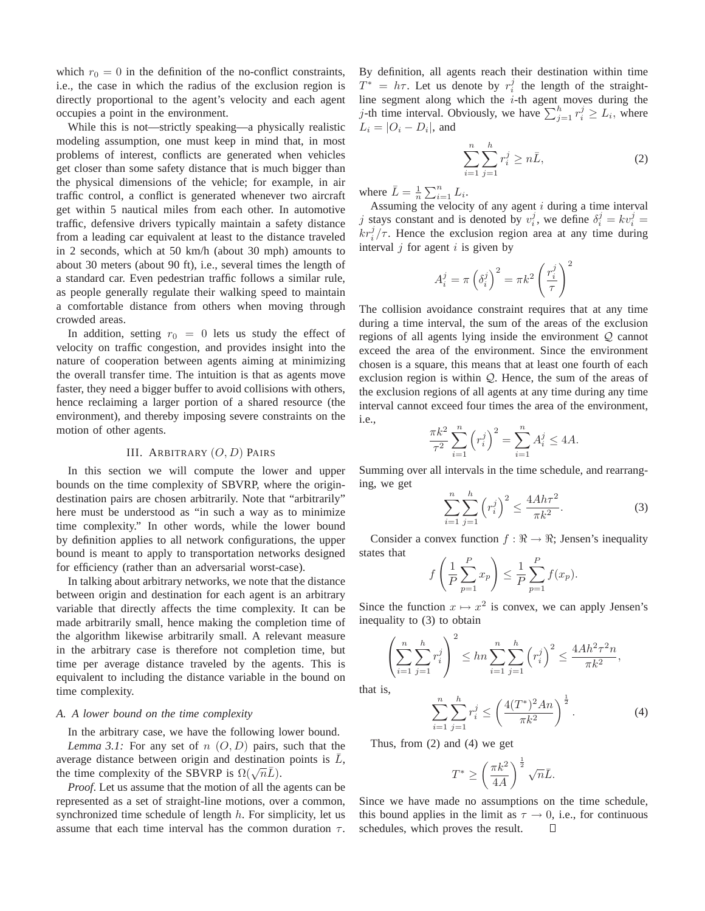which  $r_0 = 0$  in the definition of the no-conflict constraints, i.e., the case in which the radius of the exclusion region is directly proportional to the agent's velocity and each agent occupies a point in the environment.

While this is not—strictly speaking—a physically realistic modeling assumption, one must keep in mind that, in most problems of interest, conflicts are generated when vehicles get closer than some safety distance that is much bigger than the physical dimensions of the vehicle; for example, in air traffic control, a conflict is generated whenever two aircraft get within 5 nautical miles from each other. In automotive traffic, defensive drivers typically maintain a safety distance from a leading car equivalent at least to the distance traveled in 2 seconds, which at 50 km/h (about 30 mph) amounts to about 30 meters (about 90 ft), i.e., several times the length of a standard car. Even pedestrian traffic follows a similar rule, as people generally regulate their walking speed to maintain a comfortable distance from others when moving through crowded areas.

In addition, setting  $r_0 = 0$  lets us study the effect of velocity on traffic congestion, and provides insight into the nature of cooperation between agents aiming at minimizing the overall transfer time. The intuition is that as agents move faster, they need a bigger buffer to avoid collisions with others, hence reclaiming a larger portion of a shared resource (the environment), and thereby imposing severe constraints on the motion of other agents.

## III. ARBITRARY  $(O, D)$  PAIRS

In this section we will compute the lower and upper bounds on the time complexity of SBVRP, where the origindestination pairs are chosen arbitrarily. Note that "arbitrarily" here must be understood as "in such a way as to minimize time complexity." In other words, while the lower bound by definition applies to all network configurations, the upper bound is meant to apply to transportation networks designed for efficiency (rather than an adversarial worst-case).

In talking about arbitrary networks, we note that the distance between origin and destination for each agent is an arbitrary variable that directly affects the time complexity. It can be made arbitrarily small, hence making the completion time of the algorithm likewise arbitrarily small. A relevant measure in the arbitrary case is therefore not completion time, but time per average distance traveled by the agents. This is equivalent to including the distance variable in the bound on time complexity.

# *A. A lower bound on the time complexity*

In the arbitrary case, we have the following lower bound. *Lemma 3.1:* For any set of  $n(0,D)$  pairs, such that the average distance between origin and destination points is  $\overline{L}$ , the time complexity of the SBVRP is  $\Omega(\sqrt{n}\bar{L})$ .

*Proof*. Let us assume that the motion of all the agents can be represented as a set of straight-line motions, over a common, synchronized time schedule of length  $h$ . For simplicity, let us assume that each time interval has the common duration  $\tau$ . By definition, all agents reach their destination within time  $T^* = h\tau$ . Let us denote by  $r_i^j$  the length of the straightline segment along which the  $i$ -th agent moves during the j-th time interval. Obviously, we have  $\sum_{j=1}^{h} r_i^j \ge L_i$ , where  $L_i = |O_i - D_i|$ , and

$$
\sum_{i=1}^{n} \sum_{j=1}^{h} r_i^j \ge n \bar{L},
$$
\n(2)

where  $\bar{L} = \frac{1}{n} \sum_{i=1}^{n} L_i$ .

Assuming the velocity of any agent  $i$  during a time interval j stays constant and is denoted by  $v_i^j$ , we define  $\delta_i^j = k v_i^j =$  $kr_i^j/\tau$ . Hence the exclusion region area at any time during interval  $j$  for agent  $i$  is given by

$$
A_i^j = \pi \left(\delta_i^j\right)^2 = \pi k^2 \left(\frac{r_i^j}{\tau}\right)^2
$$

The collision avoidance constraint requires that at any time during a time interval, the sum of the areas of the exclusion regions of all agents lying inside the environment Q cannot exceed the area of the environment. Since the environment chosen is a square, this means that at least one fourth of each exclusion region is within Q. Hence, the sum of the areas of the exclusion regions of all agents at any time during any time interval cannot exceed four times the area of the environment, i.e.,

$$
\frac{\pi k^2}{\tau^2} \sum_{i=1}^n \left( r_i^j \right)^2 = \sum_{i=1}^n A_i^j \le 4A.
$$

Summing over all intervals in the time schedule, and rearranging, we get

$$
\sum_{i=1}^{n} \sum_{j=1}^{h} \left( r_i^j \right)^2 \le \frac{4A h \tau^2}{\pi k^2}.
$$
 (3)

Consider a convex function  $f : \mathbb{R} \to \mathbb{R}$ ; Jensen's inequality states that

$$
f\left(\frac{1}{P}\sum_{p=1}^{P}x_p\right) \leq \frac{1}{P}\sum_{p=1}^{P}f(x_p).
$$

Since the function  $x \mapsto x^2$  is convex, we can apply Jensen's inequality to (3) to obtain

$$
\left(\sum_{i=1}^{n} \sum_{j=1}^{h} r_i^j\right)^2 \leq h n \sum_{i=1}^{n} \sum_{j=1}^{h} \left(r_i^j\right)^2 \leq \frac{4Ah^2 \tau^2 n}{\pi k^2},
$$
is.

that is,

$$
\sum_{i=1}^{n} \sum_{j=1}^{h} r_i^j \le \left(\frac{4(T^*)^2 An}{\pi k^2}\right)^{\frac{1}{2}}.
$$
 (4)

Thus, from (2) and (4) we get

$$
T^* \ge \left(\frac{\pi k^2}{4A}\right)^{\frac{1}{2}} \sqrt{n}\bar{L}.
$$

Since we have made no assumptions on the time schedule, this bound applies in the limit as  $\tau \to 0$ , i.e., for continuous schedules, which proves the result.  $\square$ schedules, which proves the result.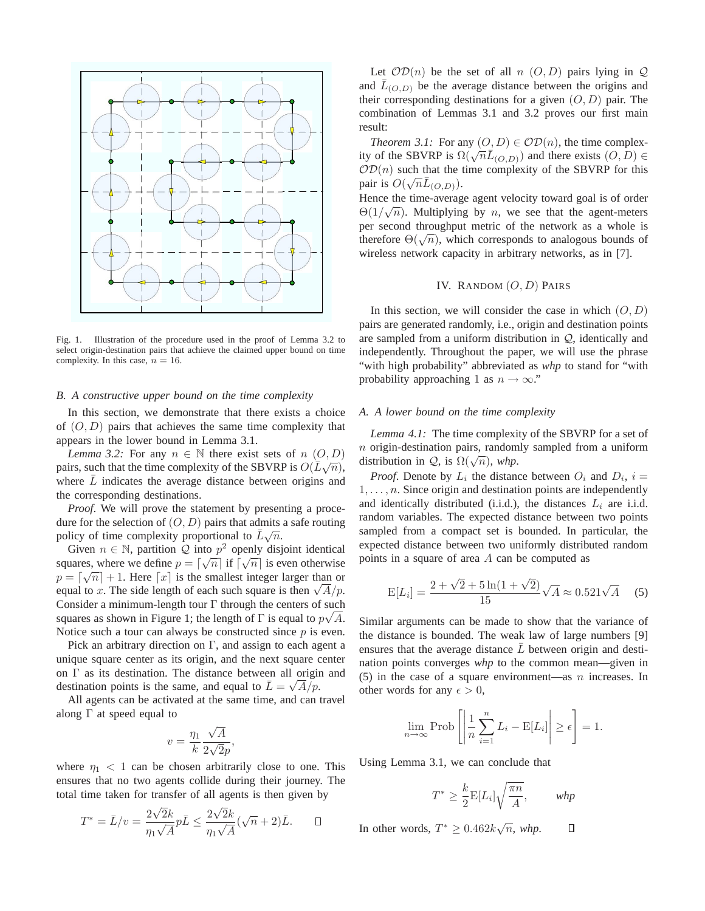

Fig. 1. Illustration of the procedure used in the proof of Lemma 3.2 to select origin-destination pairs that achieve the claimed upper bound on time complexity. In this case,  $n = 16$ .

#### *B. A constructive upper bound on the time complexity*

In this section, we demonstrate that there exists a choice of  $(O, D)$  pairs that achieves the same time complexity that appears in the lower bound in Lemma 3.1.

*Lemma 3.2:* For any  $n \in \mathbb{N}$  there exist sets of  $n \ (O, D)$ pairs, such that the time complexity of the SBVRP is  $O(\overline{L}\sqrt{n})$ , where  $\overline{L}$  indicates the average distance between origins and the corresponding destinations.

*Proof*. We will prove the statement by presenting a procedure for the selection of  $(O, D)$  pairs that admits a safe routing policy of time complexity proportional to  $\bar{L}\sqrt{n}$ .

Given  $n \in \mathbb{N}$ , partition  $Q$  into  $p^2$  openly disjoint identical squares, where we define  $p = \lceil \sqrt{n} \rceil$  if  $\lceil \sqrt{n} \rceil$  is even otherwise  $p = \lceil \sqrt{n} \rceil + 1$ . Here  $\lceil x \rceil$  is the smallest integer larger than or equal to x. The side length of each such square is then  $\sqrt{A}/p$ . Consider a minimum-length tour Γ through the centers of such squares as shown in Figure 1; the length of  $\Gamma$  is equal to  $p\sqrt{A}$ . Notice such a tour can always be constructed since  $p$  is even.

Pick an arbitrary direction on  $\Gamma$ , and assign to each agent a unique square center as its origin, and the next square center on Γ as its destination. The distance between all origin and destination points is the same, and equal to  $\bar{L} = \sqrt{A}/p$ .

All agents can be activated at the same time, and can travel along  $\Gamma$  at speed equal to

$$
v = \frac{\eta_1}{k} \frac{\sqrt{A}}{2\sqrt{2}p},
$$

where  $\eta_1$  < 1 can be chosen arbitrarily close to one. This ensures that no two agents collide during their journey. The total time taken for transfer of all agents is then given by

$$
T^* = \bar{L}/v = \frac{2\sqrt{2}k}{\eta_1\sqrt{A}}p\bar{L} \le \frac{2\sqrt{2}k}{\eta_1\sqrt{A}}(\sqrt{n}+2)\bar{L}.\qquad \Box
$$

Let  $OD(n)$  be the set of all n  $(O, D)$  pairs lying in Q and  $\overline{L}_{(O,D)}$  be the average distance between the origins and their corresponding destinations for a given  $(O, D)$  pair. The combination of Lemmas 3.1 and 3.2 proves our first main result:

*Theorem 3.1:* For any  $(O, D) \in \mathcal{OD}(n)$ , the time complexity of the SBVRP is  $\Omega(\sqrt{n}\vec{L}_{(O,D)})$  and there exists  $(O, D) \in$  $OD(n)$  such that the time complexity of the SBVRP for this pair is  $O(\sqrt{n}\bar{L}_{(O,D)})$ .

Hence the time-average agent velocity toward goal is of order  $\Theta(1/\sqrt{n})$ . Multiplying by *n*, we see that the agent-meters per second throughput metric of the network as a whole is therefore  $\Theta(\sqrt{n})$ , which corresponds to analogous bounds of wireless network capacity in arbitrary networks, as in [7].

# IV. RANDOM  $(O, D)$  PAIRS

In this section, we will consider the case in which  $(O, D)$ pairs are generated randomly, i.e., origin and destination points are sampled from a uniform distribution in  $Q$ , identically and independently. Throughout the paper, we will use the phrase "with high probability" abbreviated as *whp* to stand for "with probability approaching 1 as  $n \to \infty$ ."

## *A. A lower bound on the time complexity*

*Lemma 4.1:* The time complexity of the SBVRP for a set of  $n$  origin-destination pairs, randomly sampled from a uniform distribution in *Q*, is  $\Omega(\sqrt{n})$ , *whp*.

*Proof.* Denote by  $L_i$  the distance between  $O_i$  and  $D_i$ ,  $i =$  $1, \ldots, n$ . Since origin and destination points are independently and identically distributed (i.i.d.), the distances  $L_i$  are i.i.d. random variables. The expected distance between two points sampled from a compact set is bounded. In particular, the expected distance between two uniformly distributed random points in a square of area A can be computed as

$$
E[L_i] = \frac{2 + \sqrt{2} + 5\ln(1 + \sqrt{2})}{15}\sqrt{A} \approx 0.521\sqrt{A}
$$
 (5)

Similar arguments can be made to show that the variance of the distance is bounded. The weak law of large numbers [9] ensures that the average distance  $L$  between origin and destination points converges *whp* to the common mean—given in (5) in the case of a square environment—as  $n$  increases. In other words for any  $\epsilon > 0$ ,

$$
\lim_{n \to \infty} \text{Prob}\left[\left|\frac{1}{n}\sum_{i=1}^{n} L_i - \text{E}[L_i]\right| \ge \epsilon\right] = 1.
$$

Using Lemma 3.1, we can conclude that

$$
T^* \ge \frac{k}{2} \mathbb{E}[L_i] \sqrt{\frac{\pi n}{A}}, \qquad \text{whp}
$$

In other words,  $T^* \geq 0.462 k \sqrt{n}$ , *whp*.  $\Box$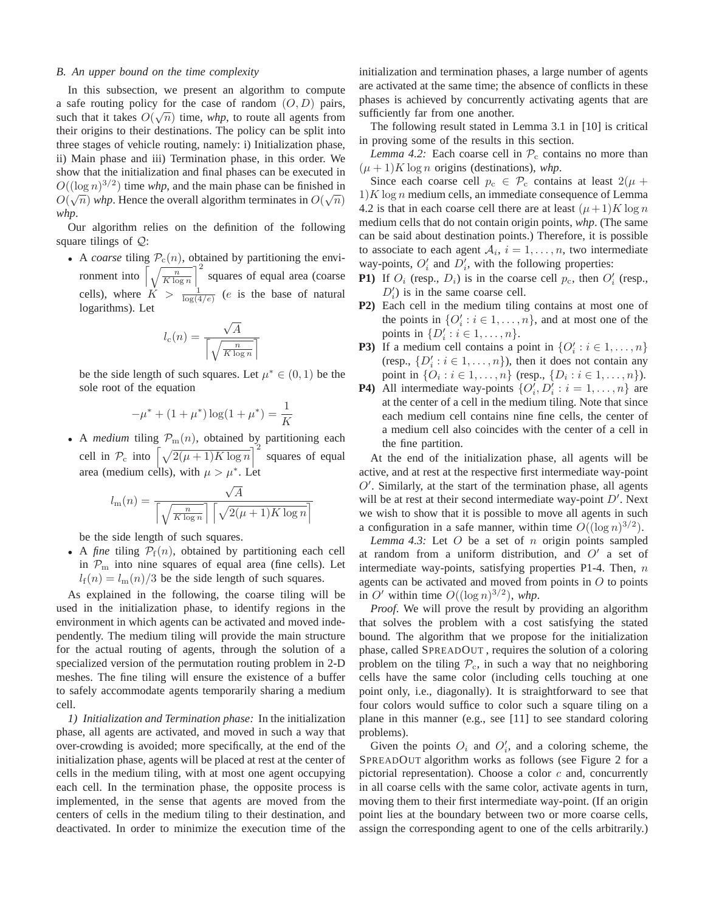## *B. An upper bound on the time complexity*

In this subsection, we present an algorithm to compute a safe routing policy for the case of random  $(O, D)$  pairs, such that it takes  $O(\sqrt{n})$  time, *whp*, to route all agents from their origins to their destinations. The policy can be split into three stages of vehicle routing, namely: i) Initialization phase, ii) Main phase and iii) Termination phase, in this order. We show that the initialization and final phases can be executed in  $O((\log n)^{3/2})$  time *whp*, and the main phase can be finished in  $O(\sqrt{n})$  whp. Hence the overall algorithm terminates in  $O(\sqrt{n})$ *whp*.

Our algorithm relies on the definition of the following square tilings of  $Q$ :

• A *coarse* tiling  $P_c(n)$ , obtained by partitioning the environment into  $\left[\sqrt{\frac{n}{K \log n}}\right]^2$  squares of equal area (coarse cells), where  $K > \frac{1}{\log(4/e)}$  (*e* is the base of natural logarithms). Let

$$
l_{\rm c}(n) = \frac{\sqrt{A}}{\left\lceil \sqrt{\frac{n}{K \log n}} \right\rceil}
$$

be the side length of such squares. Let  $\mu^* \in (0,1)$  be the sole root of the equation

$$
-\mu^* + (1 + \mu^*) \log(1 + \mu^*) = \frac{1}{K}
$$

• A *medium* tiling  $\mathcal{P}_m(n)$ , obtained by partitioning each cell in  $\mathcal{P}_{\rm c}$  into  $\left[\sqrt{2(\mu+1)K\log n}\right]^2$  squares of equal area (medium cells), with  $\mu > \mu^*$ . Let

$$
l_{\rm m}(n) = \frac{\sqrt{A}}{\left\lceil \sqrt{\frac{n}{K \log n}} \right\rceil \left\lceil \sqrt{2(\mu+1)K \log n} \right\rceil}
$$

be the side length of such squares.

• A *fine* tiling  $P_f(n)$ , obtained by partitioning each cell in  $\mathcal{P}_{\text{m}}$  into nine squares of equal area (fine cells). Let  $l_f(n) = l_m(n)/3$  be the side length of such squares.

As explained in the following, the coarse tiling will be used in the initialization phase, to identify regions in the environment in which agents can be activated and moved independently. The medium tiling will provide the main structure for the actual routing of agents, through the solution of a specialized version of the permutation routing problem in 2-D meshes. The fine tiling will ensure the existence of a buffer to safely accommodate agents temporarily sharing a medium cell.

*1) Initialization and Termination phase:* In the initialization phase, all agents are activated, and moved in such a way that over-crowding is avoided; more specifically, at the end of the initialization phase, agents will be placed at rest at the center of cells in the medium tiling, with at most one agent occupying each cell. In the termination phase, the opposite process is implemented, in the sense that agents are moved from the centers of cells in the medium tiling to their destination, and deactivated. In order to minimize the execution time of the initialization and termination phases, a large number of agents are activated at the same time; the absence of conflicts in these phases is achieved by concurrently activating agents that are sufficiently far from one another.

The following result stated in Lemma 3.1 in [10] is critical in proving some of the results in this section.

*Lemma 4.2:* Each coarse cell in  $P_c$  contains no more than  $(\mu + 1)K \log n$  origins (destinations), *whp*.

Since each coarse cell  $p_c \in \mathcal{P}_c$  contains at least  $2(\mu +$  $1)K \log n$  medium cells, an immediate consequence of Lemma 4.2 is that in each coarse cell there are at least  $(\mu+1)K \log n$ medium cells that do not contain origin points, *whp*. (The same can be said about destination points.) Therefore, it is possible to associate to each agent  $A_i$ ,  $i = 1, ..., n$ , two intermediate way-points,  $O'_i$  and  $D'_i$ , with the following properties:

- **P1**) If  $O_i$  (resp.,  $D_i$ ) is in the coarse cell  $p_c$ , then  $O'_i$  (resp.,  $D_i'$ ) is in the same coarse cell.
- **P2)** Each cell in the medium tiling contains at most one of the points in  $\{O'_i : i \in 1, \ldots, n\}$ , and at most one of the points in  $\{D'_i : i \in 1, \ldots, n\}.$
- **P3**) If a medium cell contains a point in  $\{O'_i : i \in 1, ..., n\}$ (resp.,  $\{D'_i : i \in 1, \ldots, n\}$ ), then it does not contain any point in  $\{O_i : i \in 1, ..., n\}$  (resp.,  $\{D_i : i \in 1, ..., n\}$ ).
- **P4**) All intermediate way-points  $\{O'_i, D'_i : i = 1, ..., n\}$  are at the center of a cell in the medium tiling. Note that since each medium cell contains nine fine cells, the center of a medium cell also coincides with the center of a cell in the fine partition.

At the end of the initialization phase, all agents will be active, and at rest at the respective first intermediate way-point  $O'$ . Similarly, at the start of the termination phase, all agents will be at rest at their second intermediate way-point  $D'$ . Next we wish to show that it is possible to move all agents in such a configuration in a safe manner, within time  $O((\log n)^{3/2})$ .

*Lemma 4.3:* Let  $O$  be a set of  $n$  origin points sampled at random from a uniform distribution, and  $O'$  a set of intermediate way-points, satisfying properties  $P1-4$ . Then,  $n$ agents can be activated and moved from points in  $O$  to points in O' within time  $O((\log n)^{3/2})$ , whp.

*Proof.* We will prove the result by providing an algorithm that solves the problem with a cost satisfying the stated bound. The algorithm that we propose for the initialization phase, called SPREADOUT , requires the solution of a coloring problem on the tiling  $\mathcal{P}_c$ , in such a way that no neighboring cells have the same color (including cells touching at one point only, i.e., diagonally). It is straightforward to see that four colors would suffice to color such a square tiling on a plane in this manner (e.g., see [11] to see standard coloring problems).

Given the points  $O_i$  and  $O'_i$ , and a coloring scheme, the SPREADOUT algorithm works as follows (see Figure 2 for a pictorial representation). Choose a color  $c$  and, concurrently in all coarse cells with the same color, activate agents in turn, moving them to their first intermediate way-point. (If an origin point lies at the boundary between two or more coarse cells, assign the corresponding agent to one of the cells arbitrarily.)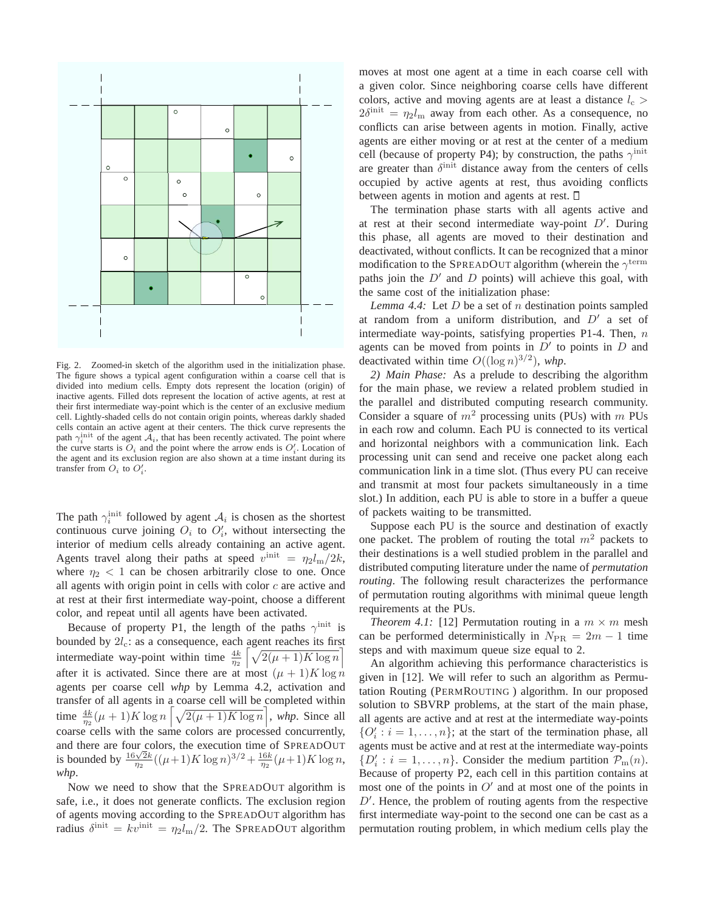

Fig. 2. Zoomed-in sketch of the algorithm used in the initialization phase. The figure shows a typical agent configuration within a coarse cell that is divided into medium cells. Empty dots represent the location (origin) of inactive agents. Filled dots represent the location of active agents, at rest at their first intermediate way-point which is the center of an exclusive medium cell. Lightly-shaded cells do not contain origin points, whereas darkly shaded cells contain an active agent at their centers. The thick curve represents the path  $\gamma_i^{\text{init}}$  of the agent  $\mathcal{A}_i$ , that has been recently activated. The point where the curve starts is  $O_i$  and the point where the arrow ends is  $O'_i$ . Location of the agent and its exclusion region are also shown at a time instant during its transfer from  $O_i$  to  $O'_i$ .

The path  $\gamma_i^{\text{init}}$  followed by agent  $\mathcal{A}_i$  is chosen as the shortest continuous curve joining  $O_i$  to  $O'_i$ , without intersecting the interior of medium cells already containing an active agent. Agents travel along their paths at speed  $v^{\text{init}} = \eta_2 l_{\text{m}}/2k$ , where  $\eta_2$  < 1 can be chosen arbitrarily close to one. Once all agents with origin point in cells with color  $c$  are active and at rest at their first intermediate way-point, choose a different color, and repeat until all agents have been activated.

Because of property P1, the length of the paths  $\gamma^{\text{init}}$  is bounded by  $2l_c$ : as a consequence, each agent reaches its first intermediate way-point within time  $\frac{4k}{\eta_2} \left[ \sqrt{2(\mu+1)K \log n} \right]$ after it is activated. Since there are at most  $(\mu + 1)K \log n$ agents per coarse cell *whp* by Lemma 4.2, activation and transfer of all agents in a coarse cell will be completed within time  $\frac{4k}{n^2}(\mu+1)K \log n \left[ \sqrt{2(\mu+1)K \log n} \right]$ , whp. Since all coarse cells with the same colors are processed concurrently, and there are four colors, the execution time of SPREADOUT is bounded by  $\frac{16\sqrt{2}k}{\eta_2}((\mu+1)K\log n)^{3/2} + \frac{16k}{\eta_2}(\mu+1)K\log n$ , *whp*.

Now we need to show that the SPREADOUT algorithm is safe, i.e., it does not generate conflicts. The exclusion region of agents moving according to the SPREADOUT algorithm has radius  $\delta^{\text{init}} = kv^{\text{init}} = \eta_2 l_{\text{m}}/2$ . The SPREADOUT algorithm

moves at most one agent at a time in each coarse cell with a given color. Since neighboring coarse cells have different colors, active and moving agents are at least a distance  $l_c$  $2\delta^{\text{init}} = \eta_2 l_{\text{m}}$  away from each other. As a consequence, no conflicts can arise between agents in motion. Finally, active agents are either moving or at rest at the center of a medium cell (because of property P4); by construction, the paths  $\gamma^{\text{init}}$ are greater than  $\delta^{\text{init}}$  distance away from the centers of cells occupied by active agents at rest, thus avoiding conflicts between agents in motion and agents at rest.

The termination phase starts with all agents active and at rest at their second intermediate way-point  $D'$ . During this phase, all agents are moved to their destination and deactivated, without conflicts. It can be recognized that a minor modification to the SPREADOUT algorithm (wherein the  $\gamma^{\text{term}}$ paths join the  $D'$  and  $D$  points) will achieve this goal, with the same cost of the initialization phase:

*Lemma 4.4:* Let D be a set of n destination points sampled at random from a uniform distribution, and  $D'$  a set of intermediate way-points, satisfying properties P1-4. Then,  $n$ agents can be moved from points in  $D'$  to points in  $D$  and deactivated within time  $O((\log n)^{3/2})$ , whp.

*2) Main Phase:* As a prelude to describing the algorithm for the main phase, we review a related problem studied in the parallel and distributed computing research community. Consider a square of  $m^2$  processing units (PUs) with m PUs in each row and column. Each PU is connected to its vertical and horizontal neighbors with a communication link. Each processing unit can send and receive one packet along each communication link in a time slot. (Thus every PU can receive and transmit at most four packets simultaneously in a time slot.) In addition, each PU is able to store in a buffer a queue of packets waiting to be transmitted.

Suppose each PU is the source and destination of exactly one packet. The problem of routing the total  $m<sup>2</sup>$  packets to their destinations is a well studied problem in the parallel and distributed computing literature under the name of *permutation routing*. The following result characterizes the performance of permutation routing algorithms with minimal queue length requirements at the PUs.

*Theorem 4.1:* [12] Permutation routing in a  $m \times m$  mesh can be performed deterministically in  $N_{\text{PR}} = 2m - 1$  time steps and with maximum queue size equal to 2.

An algorithm achieving this performance characteristics is given in [12]. We will refer to such an algorithm as Permutation Routing (PERMROUTING ) algorithm. In our proposed solution to SBVRP problems, at the start of the main phase, all agents are active and at rest at the intermediate way-points  $\{O'_i : i = 1, \ldots, n\}$ ; at the start of the termination phase, all agents must be active and at rest at the intermediate way-points  $\{D'_i : i = 1, \ldots, n\}$ . Consider the medium partition  $\mathcal{P}_{m}(n)$ . Because of property P2, each cell in this partition contains at most one of the points in  $O'$  and at most one of the points in  $D'$ . Hence, the problem of routing agents from the respective first intermediate way-point to the second one can be cast as a permutation routing problem, in which medium cells play the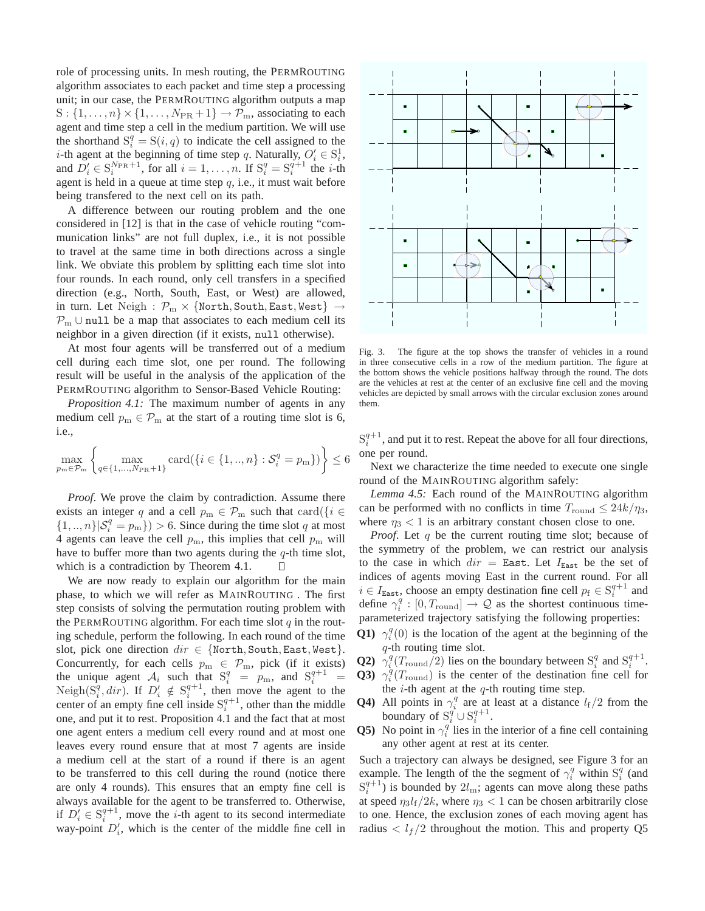role of processing units. In mesh routing, the PERMROUTING algorithm associates to each packet and time step a processing unit; in our case, the PERMROUTING algorithm outputs a map  $S: \{1, \ldots, n\} \times \{1, \ldots, N_{PR} + 1\} \rightarrow \mathcal{P}_m$ , associating to each agent and time step a cell in the medium partition. We will use the shorthand  $S_i^q = S(i, q)$  to indicate the cell assigned to the *i*-th agent at the beginning of time step q. Naturally,  $O'_i \in S_i^1$ , and  $D'_i \in S_i^{N_{\text{PR}}+1}$ , for all  $i = 1, \ldots, n$ . If  $S_i^q = S_i^{q+1}$  the *i*-th agent is held in a queue at time step  $q$ , i.e., it must wait before being transfered to the next cell on its path.

A difference between our routing problem and the one considered in [12] is that in the case of vehicle routing "communication links" are not full duplex, i.e., it is not possible to travel at the same time in both directions across a single link. We obviate this problem by splitting each time slot into four rounds. In each round, only cell transfers in a specified direction (e.g., North, South, East, or West) are allowed, in turn. Let  $Neigh : P_m \times \{North, South, East, West\} \rightarrow$  $P_m \cup null$  be a map that associates to each medium cell its neighbor in a given direction (if it exists, null otherwise).

At most four agents will be transferred out of a medium cell during each time slot, one per round. The following result will be useful in the analysis of the application of the PERMROUTING algorithm to Sensor-Based Vehicle Routing:

*Proposition 4.1:* The maximum number of agents in any medium cell  $p_m \in \mathcal{P}_m$  at the start of a routing time slot is 6, i.e.,

$$
\max_{p_{\text{m}} \in \mathcal{P}_{\text{m}}} \left\{ \max_{q \in \{1, \dots, N_{\text{PR}} + 1\}} \text{card}(\{i \in \{1, \dots, n\} : \mathcal{S}_i^q = p_{\text{m}}\}) \right\} \le 6
$$

*Proof.* We prove the claim by contradiction. Assume there exists an integer q and a cell  $p_m \in \mathcal{P}_m$  such that  $\text{card}(\{i \in$  $\{1,..,n\}|\mathcal{S}_i^q = p_m\}) > 6$ . Since during the time slot q at most 4 agents can leave the cell  $p_m$ , this implies that cell  $p_m$  will have to buffer more than two agents during the  $q$ -th time slot, which is a contradiction by Theorem 4.1.  $\Box$ 

We are now ready to explain our algorithm for the main phase, to which we will refer as MAINROUTING . The first step consists of solving the permutation routing problem with the PERMROUTING algorithm. For each time slot  $q$  in the routing schedule, perform the following. In each round of the time slot, pick one direction  $dir \in \{North, South, East, West\}.$ Concurrently, for each cells  $p_m \in \mathcal{P}_m$ , pick (if it exists)<br>the unique agent  $\mathcal{A}_i$  such that  $S_i^q = p_m$ , and  $S_i^{q+1} =$ the unique agent  $A_i$  such that  $S_i^q = p_m$ , and  $S_i^{q+1} =$ Neigh $(S_i^q, dir)$ . If  $D'_i \notin S_i^{q+1}$ , then move the agent to the center of an empty fine cell inside  $S_i^{q+1}$ , other than the middle one, and put it to rest. Proposition 4.1 and the fact that at most one agent enters a medium cell every round and at most one leaves every round ensure that at most 7 agents are inside a medium cell at the start of a round if there is an agent to be transferred to this cell during the round (notice there are only 4 rounds). This ensures that an empty fine cell is always available for the agent to be transferred to. Otherwise, if  $D_i^j \in S_i^{q+1}$ , move the *i*-th agent to its second intermediate way-point  $D'_i$ , which is the center of the middle fine cell in



Fig. 3. The figure at the top shows the transfer of vehicles in a round in three consecutive cells in a row of the medium partition. The figure at the bottom shows the vehicle positions halfway through the round. The dots are the vehicles at rest at the center of an exclusive fine cell and the moving vehicles are depicted by small arrows with the circular exclusion zones around them.

 $S_i^{q+1}$ , and put it to rest. Repeat the above for all four directions, one per round.

Next we characterize the time needed to execute one single round of the MAINROUTING algorithm safely:

*Lemma 4.5:* Each round of the MAINROUTING algorithm can be performed with no conflicts in time  $T_{\text{round}} \leq 24k/\eta_3$ , where  $\eta_3$  < 1 is an arbitrary constant chosen close to one.

*Proof.* Let q be the current routing time slot; because of the symmetry of the problem, we can restrict our analysis to the case in which  $dir =$  East. Let  $I<sub>East</sub>$  be the set of indices of agents moving East in the current round. For all  $i \in I_{\text{East}}$ , choose an empty destination fine cell  $p_f \in S_i^{q+1}$  and define  $\gamma_i^q : [0, T_{\text{round}}] \rightarrow \mathcal{Q}$  as the shortest continuous timeparameterized trajectory satisfying the following properties:

- **Q1**)  $\gamma_i^q(0)$  is the location of the agent at the beginning of the  $q$ -th routing time slot.
- **Q2**)  $\gamma_i^q(T_{\text{round}}/2)$  lies on the boundary between  $S_i^q$  and  $S_i^{q+1}$ .
- **Q3**)  $\gamma_i^q(T_{\text{round}})$  is the center of the destination fine cell for the  $i$ -th agent at the  $q$ -th routing time step.
- **Q4**) All points in  $\gamma_i^q$  are at least at a distance  $l_f/2$  from the boundary of  $S_i^q \cup S_i^{q+1}$ .
- **Q5**) No point in  $\gamma_i^q$  lies in the interior of a fine cell containing any other agent at rest at its center.

Such a trajectory can always be designed, see Figure 3 for an example. The length of the the segment of  $\gamma_i^q$  within  $S_i^q$  (and  $S_i^{q+1}$ ) is bounded by  $2l_m$ ; agents can move along these paths at speed  $\eta_3 l_f/2k$ , where  $\eta_3 < 1$  can be chosen arbitrarily close to one. Hence, the exclusion zones of each moving agent has radius  $\langle l_f/2 \rangle$  throughout the motion. This and property Q5